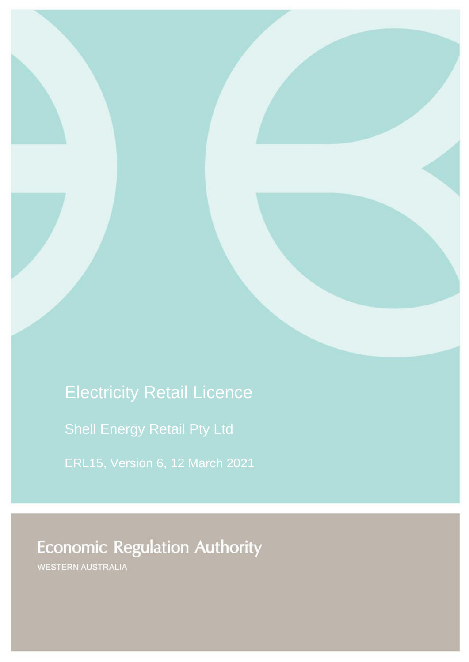Electricity Retail Licence

Shell Energy Retail Pty Ltd

ERL15, Version 6, 12 March 2021

**Economic Regulation Authority** 

WESTERN AUSTRALIA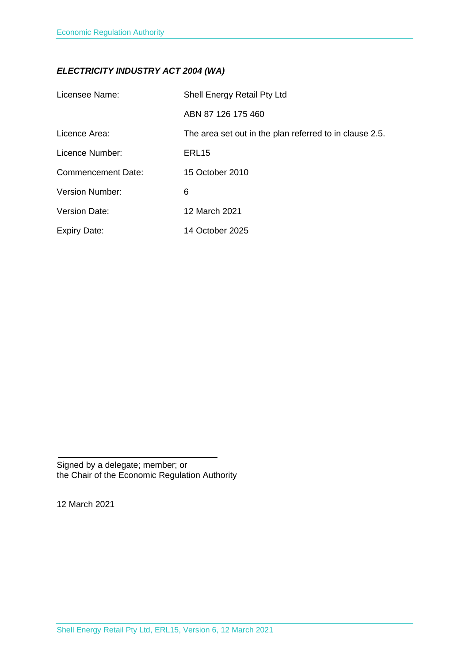# *ELECTRICITY INDUSTRY ACT 2004 (WA)*

| Licensee Name:            | Shell Energy Retail Pty Ltd                             |
|---------------------------|---------------------------------------------------------|
|                           | ABN 87 126 175 460                                      |
| Licence Area:             | The area set out in the plan referred to in clause 2.5. |
| Licence Number:           | ERL <sub>15</sub>                                       |
| <b>Commencement Date:</b> | 15 October 2010                                         |
| <b>Version Number:</b>    | 6                                                       |
| <b>Version Date:</b>      | 12 March 2021                                           |
| <b>Expiry Date:</b>       | 14 October 2025                                         |

Signed by a delegate; member; or the Chair of the Economic Regulation Authority

12 March 2021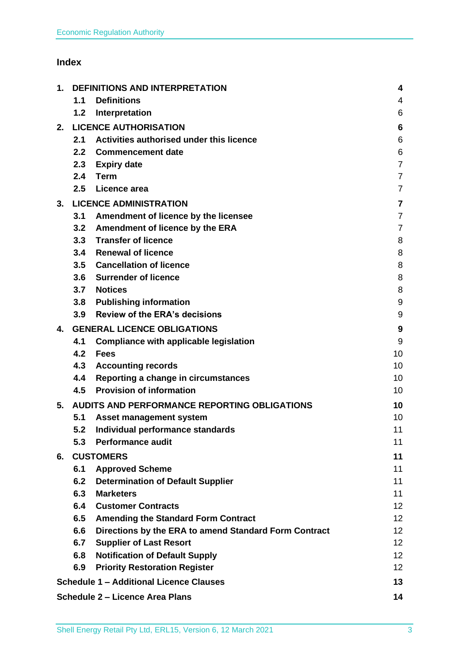# **Index**

| 1. | <b>DEFINITIONS AND INTERPRETATION</b> |                                                       | 4                       |
|----|---------------------------------------|-------------------------------------------------------|-------------------------|
|    | 1.1                                   | <b>Definitions</b>                                    | 4                       |
|    | 1.2                                   | Interpretation                                        | 6                       |
| 2. |                                       | <b>LICENCE AUTHORISATION</b>                          | 6                       |
|    | 2.1                                   | Activities authorised under this licence              | 6                       |
|    | 2.2 <sub>2</sub>                      | <b>Commencement date</b>                              | 6                       |
|    | 2.3                                   | <b>Expiry date</b>                                    | $\overline{7}$          |
|    | 2.4                                   | Term                                                  | $\overline{7}$          |
|    | 2.5                                   | Licence area                                          | $\overline{7}$          |
| 3. |                                       | <b>LICENCE ADMINISTRATION</b>                         | $\overline{\mathbf{7}}$ |
|    | 3.1                                   | Amendment of licence by the licensee                  | $\overline{7}$          |
|    | 3.2                                   | <b>Amendment of licence by the ERA</b>                | $\overline{7}$          |
|    |                                       | 3.3 Transfer of licence                               | 8                       |
|    | 3.4                                   | <b>Renewal of licence</b>                             | 8                       |
|    | 3.5                                   | <b>Cancellation of licence</b>                        | 8                       |
|    | 3.6                                   | <b>Surrender of licence</b>                           | 8                       |
|    | 3.7                                   | <b>Notices</b>                                        | 8                       |
|    | 3.8                                   | <b>Publishing information</b>                         | 9                       |
|    | 3.9                                   | <b>Review of the ERA's decisions</b>                  | 9                       |
| 4. | <b>GENERAL LICENCE OBLIGATIONS</b>    |                                                       | 9                       |
|    | 4.1                                   | <b>Compliance with applicable legislation</b>         | 9                       |
|    | 4.2                                   | <b>Fees</b>                                           | 10                      |
|    | 4.3                                   | <b>Accounting records</b>                             | 10                      |
|    | 4.4                                   | Reporting a change in circumstances                   | 10                      |
|    | 4.5                                   | <b>Provision of information</b>                       | 10                      |
| 5. |                                       | AUDITS AND PERFORMANCE REPORTING OBLIGATIONS          | 10                      |
|    | 5.1                                   | Asset management system                               | 10                      |
|    | 5.2                                   | Individual performance standards                      | 11                      |
|    | 5.3                                   | <b>Performance audit</b>                              | 11                      |
| 6. | <b>CUSTOMERS</b>                      |                                                       | 11                      |
|    | 6.1                                   | <b>Approved Scheme</b>                                | 11                      |
|    | 6.2                                   | <b>Determination of Default Supplier</b>              | 11                      |
|    | 6.3                                   | <b>Marketers</b>                                      | 11                      |
|    | 6.4                                   | <b>Customer Contracts</b>                             | 12 <sub>2</sub>         |
|    | 6.5                                   | <b>Amending the Standard Form Contract</b>            | 12 <sub>2</sub>         |
|    | 6.6                                   | Directions by the ERA to amend Standard Form Contract | 12 <sub>2</sub>         |
|    | 6.7                                   | <b>Supplier of Last Resort</b>                        | 12                      |
|    | 6.8                                   | <b>Notification of Default Supply</b>                 | 12 <sup>2</sup>         |
|    | 6.9                                   | <b>Priority Restoration Register</b>                  | 12 <sup>2</sup>         |
|    |                                       | <b>Schedule 1 - Additional Licence Clauses</b>        | 13                      |
|    |                                       | <b>Schedule 2 - Licence Area Plans</b>                | 14                      |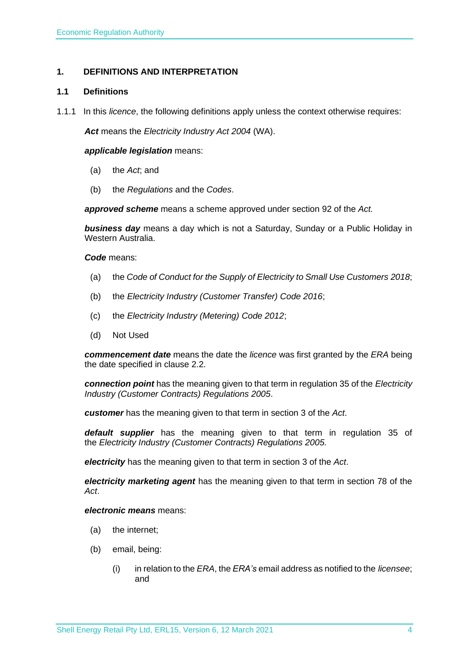# <span id="page-3-0"></span>**1. DEFINITIONS AND INTERPRETATION**

### <span id="page-3-1"></span>**1.1 Definitions**

1.1.1 In this *licence*, the following definitions apply unless the context otherwise requires:

*Act* means the *Electricity Industry Act 2004* (WA).

#### *applicable legislation* means:

- (a) the *Act*; and
- (b) the *Regulations* and the *Codes*.

*approved scheme* means a scheme approved under section 92 of the *Act.* 

*business day* means a day which is not a Saturday, Sunday or a Public Holiday in Western Australia.

*Code* means:

- (a) the *Code of Conduct for the Supply of Electricity to Small Use Customers 2018*;
- (b) the *Electricity Industry (Customer Transfer) Code 2016*;
- (c) the *Electricity Industry (Metering) Code 2012*;
- (d) Not Used

*commencement date* means the date the *licence* was first granted by the *ERA* being the date specified in clause 2.2.

*connection point* has the meaning given to that term in regulation 35 of the *[Electricity](http://www.slp.wa.gov.au/legislation/statutes.nsf/main_mrtitle_1345_homepage.html)  [Industry \(Customer Contracts\) Regulations 2005](http://www.slp.wa.gov.au/legislation/statutes.nsf/main_mrtitle_1345_homepage.html)*.

*customer* has the meaning given to that term in section 3 of the *Act*.

*default supplier* has the meaning given to that term in regulation 35 of the *Electricity [Industry \(Customer Contracts\) Regulations 2005.](http://www.slp.wa.gov.au/legislation/statutes.nsf/main_mrtitle_1345_homepage.html)*

*electricity* has the meaning given to that term in section 3 of the *Act*.

*electricity marketing agent* has the meaning given to that term in section 78 of the *Act*.

#### *electronic means* means:

- (a) the internet;
- (b) email, being:
	- (i) in relation to the *ERA*, the *ERA's* email address as notified to the *licensee*; and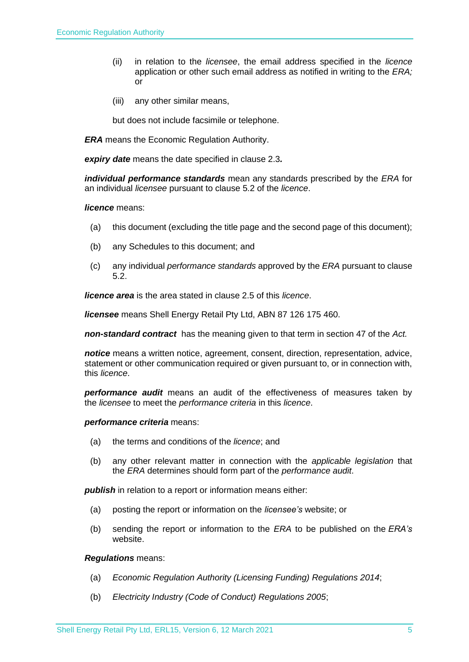- (ii) in relation to the *licensee*, the email address specified in the *licence* application or other such email address as notified in writing to the *ERA;* or
- (iii) any other similar means,

but does not include facsimile or telephone.

*ERA* means the Economic Regulation Authority.

*expiry date* means the date specified in clause 2.3*.*

*individual performance standards* mean any standards prescribed by the *ERA* for an individual *licensee* pursuant to clause 5.2 of the *licence*.

#### *licence* means:

- (a) this document (excluding the title page and the second page of this document);
- (b) any Schedules to this document; and
- (c) any individual *performance standards* approved by the *ERA* pursuant to clause 5.2.

*licence area* is the area stated in clause 2.5 of this *licence*.

*licensee* means Shell Energy Retail Pty Ltd, ABN 87 126 175 460.

*non-standard contract* has the meaning given to that term in section 47 of the *Act.* 

*notice* means a written notice, agreement, consent, direction, representation, advice, statement or other communication required or given pursuant to, or in connection with, this *licence*.

*performance audit* means an audit of the effectiveness of measures taken by the *licensee* to meet the *performance criteria* in this *licence*.

#### *performance criteria* means:

- (a) the terms and conditions of the *licence*; and
- (b) any other relevant matter in connection with the *applicable legislation* that the *ERA* determines should form part of the *performance audit*.

**publish** in relation to a report or information means either:

- (a) posting the report or information on the *licensee's* website; or
- (b) sending the report or information to the *ERA* to be published on the *ERA's* website.

#### *Regulations* means:

- (a) *Economic Regulation Authority (Licensing Funding) Regulations 2014*;
- (b) *Electricity Industry (Code of Conduct) Regulations 2005*;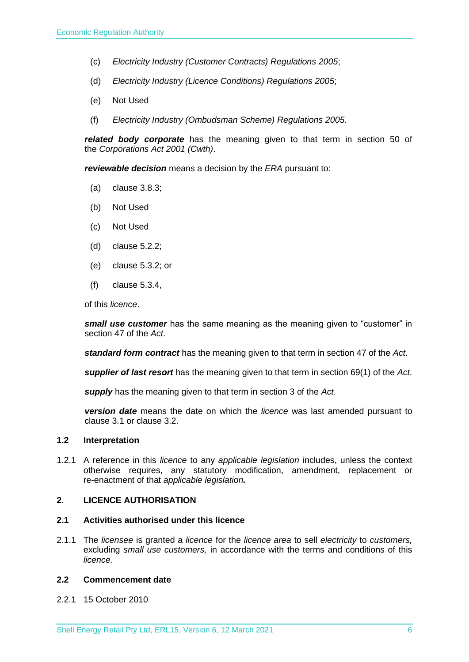- (c) *Electricity Industry (Customer Contracts) Regulations 2005*;
- (d) *Electricity Industry (Licence Conditions) Regulations 2005*;
- (e) Not Used
- (f) *Electricity Industry (Ombudsman Scheme) Regulations 2005.*

*related body corporate* has the meaning given to that term in section 50 of the *Corporations Act 2001 (Cwth)*.

*reviewable decision* means a decision by the *ERA* pursuant to:

- (a) clause 3.8.3;
- (b) Not Used
- (c) Not Used
- (d) clause 5.2.2;
- (e) clause 5.3.2; or
- (f) clause 5.3.4,

of this *licence*.

*small use customer* has the same meaning as the meaning given to "customer" in section 47 of the *Act*.

*standard form contract* has the meaning given to that term in section 47 of the *Act*.

*supplier of last resort* has the meaning given to that term in section 69(1) of the *Act*.

*supply* has the meaning given to that term in section 3 of the *Act*.

*version date* means the date on which the *licence* was last amended pursuant to clause 3.1 or clause 3.2.

#### <span id="page-5-0"></span>**1.2 Interpretation**

1.2.1 A reference in this *licence* to any *applicable legislation* includes, unless the context otherwise requires, any statutory modification, amendment, replacement or re-enactment of that *applicable legislation.*

#### <span id="page-5-1"></span>**2. LICENCE AUTHORISATION**

#### <span id="page-5-2"></span>**2.1 Activities authorised under this licence**

2.1.1 The *licensee* is granted a *licence* for the *licence area* to sell *electricity* to *customers,*  excluding *small use customers,* in accordance with the terms and conditions of this *licence.*

#### <span id="page-5-3"></span>**2.2 Commencement date**

2.2.1 15 October 2010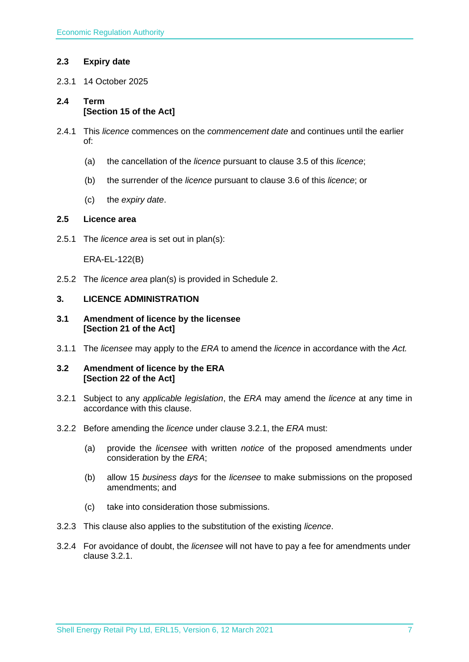# <span id="page-6-0"></span>**2.3 Expiry date**

2.3.1 14 October 2025

# <span id="page-6-1"></span>**2.4 Term [Section 15 of the Act]**

- 2.4.1 This *licence* commences on the *commencement date* and continues until the earlier of:
	- (a) the cancellation of the *licence* pursuant to clause 3.5 of this *licence*;
	- (b) the surrender of the *licence* pursuant to clause 3.6 of this *licence*; or
	- (c) the *expiry date*.

# <span id="page-6-2"></span>**2.5 Licence area**

2.5.1 The *licence area* is set out in plan(s):

ERA-EL-122(B)

2.5.2 The *licence area* plan(s) is provided in Schedule 2.

#### <span id="page-6-3"></span>**3. LICENCE ADMINISTRATION**

#### <span id="page-6-4"></span>**3.1 Amendment of licence by the licensee [Section 21 of the Act]**

3.1.1 The *licensee* may apply to the *ERA* to amend the *licence* in accordance with the *Act.*

#### <span id="page-6-5"></span>**3.2 Amendment of licence by the ERA [Section 22 of the Act]**

- 3.2.1 Subject to any *applicable legislation*, the *ERA* may amend the *licence* at any time in accordance with this clause.
- 3.2.2 Before amending the *licence* under clause 3.2.1, the *ERA* must:
	- (a) provide the *licensee* with written *notice* of the proposed amendments under consideration by the *ERA*;
	- (b) allow 15 *business days* for the *licensee* to make submissions on the proposed amendments; and
	- (c) take into consideration those submissions.
- 3.2.3 This clause also applies to the substitution of the existing *licence*.
- 3.2.4 For avoidance of doubt, the *licensee* will not have to pay a fee for amendments under clause 3.2.1.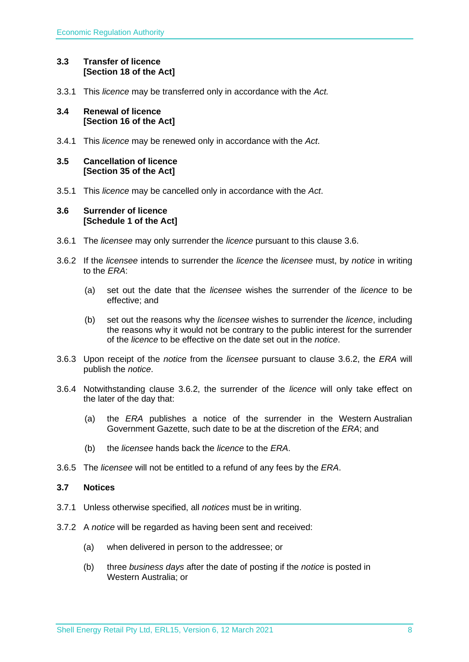# <span id="page-7-0"></span>**3.3 Transfer of licence [Section 18 of the Act]**

3.3.1 This *licence* may be transferred only in accordance with the *Act.*

### <span id="page-7-1"></span>**3.4 Renewal of licence [Section 16 of the Act]**

3.4.1 This *licence* may be renewed only in accordance with the *Act*.

### <span id="page-7-2"></span>**3.5 Cancellation of licence [Section 35 of the Act]**

3.5.1 This *licence* may be cancelled only in accordance with the *Act*.

### <span id="page-7-3"></span>**3.6 Surrender of licence [Schedule 1 of the Act]**

- 3.6.1 The *licensee* may only surrender the *licence* pursuant to this clause 3.6.
- 3.6.2 If the *licensee* intends to surrender the *licence* the *licensee* must, by *notice* in writing to the *ERA*:
	- (a) set out the date that the *licensee* wishes the surrender of the *licence* to be effective; and
	- (b) set out the reasons why the *licensee* wishes to surrender the *licence*, including the reasons why it would not be contrary to the public interest for the surrender of the *licence* to be effective on the date set out in the *notice*.
- 3.6.3 Upon receipt of the *notice* from the *licensee* pursuant to clause 3.6.2, the *ERA* will publish the *notice*.
- 3.6.4 Notwithstanding clause 3.6.2, the surrender of the *licence* will only take effect on the later of the day that:
	- (a) the *ERA* publishes a notice of the surrender in the Western Australian Government Gazette, such date to be at the discretion of the *ERA*; and
	- (b) the *licensee* hands back the *licence* to the *ERA*.
- 3.6.5 The *licensee* will not be entitled to a refund of any fees by the *ERA*.

# <span id="page-7-4"></span>**3.7 Notices**

- 3.7.1 Unless otherwise specified, all *notices* must be in writing.
- 3.7.2 A *notice* will be regarded as having been sent and received:
	- (a) when delivered in person to the addressee; or
	- (b) three *business days* after the date of posting if the *notice* is posted in Western Australia; or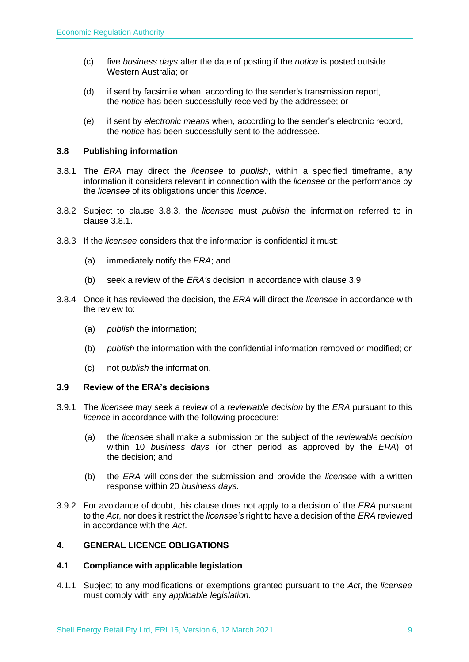- (c) five *business days* after the date of posting if the *notice* is posted outside Western Australia; or
- (d) if sent by facsimile when, according to the sender's transmission report, the *notice* has been successfully received by the addressee; or
- (e) if sent by *electronic means* when, according to the sender's electronic record, the *notice* has been successfully sent to the addressee.

# <span id="page-8-0"></span>**3.8 Publishing information**

- 3.8.1 The *ERA* may direct the *licensee* to *publish*, within a specified timeframe, any information it considers relevant in connection with the *licensee* or the performance by the *licensee* of its obligations under this *licence*.
- 3.8.2 Subject to clause 3.8.3, the *licensee* must *publish* the information referred to in clause 3.8.1.
- 3.8.3 If the *licensee* considers that the information is confidential it must:
	- (a) immediately notify the *ERA*; and
	- (b) seek a review of the *ERA's* decision in accordance with clause 3.9.
- 3.8.4 Once it has reviewed the decision, the *ERA* will direct the *licensee* in accordance with the review to:
	- (a) *publish* the information;
	- (b) *publish* the information with the confidential information removed or modified; or
	- (c) not *publish* the information.

#### <span id="page-8-1"></span>**3.9 Review of the ERA's decisions**

- 3.9.1 The *licensee* may seek a review of a *reviewable decision* by the *ERA* pursuant to this *licence* in accordance with the following procedure:
	- (a) the *licensee* shall make a submission on the subject of the *reviewable decision* within 10 *business days* (or other period as approved by the *ERA*) of the decision; and
	- (b) the *ERA* will consider the submission and provide the *licensee* with a written response within 20 *business days*.
- 3.9.2 For avoidance of doubt, this clause does not apply to a decision of the *ERA* pursuant to the *Act*, nor does it restrict the *licensee's* right to have a decision of the *ERA* reviewed in accordance with the *Act*.

# <span id="page-8-2"></span>**4. GENERAL LICENCE OBLIGATIONS**

#### <span id="page-8-3"></span>**4.1 Compliance with applicable legislation**

4.1.1 Subject to any modifications or exemptions granted pursuant to the *Act*, the *licensee* must comply with any *applicable legislation*.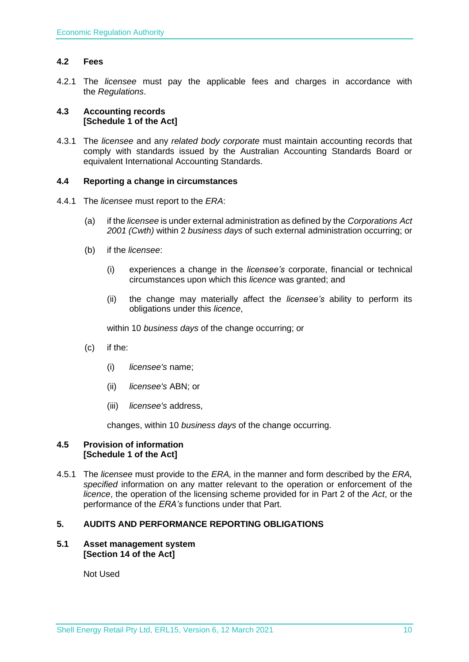# <span id="page-9-0"></span>**4.2 Fees**

4.2.1 The *licensee* must pay the applicable fees and charges in accordance with the *Regulations*.

### <span id="page-9-1"></span>**4.3 Accounting records [Schedule 1 of the Act]**

4.3.1 The *licensee* and any *related body corporate* must maintain accounting records that comply with standards issued by the Australian Accounting Standards Board or equivalent International Accounting Standards.

#### <span id="page-9-2"></span>**4.4 Reporting a change in circumstances**

- 4.4.1 The *licensee* must report to the *ERA*:
	- (a) if the *licensee* is under external administration as defined by the *Corporations Act 2001 (Cwth)* within 2 *business days* of such external administration occurring; or
	- (b) if the *licensee*:
		- (i) experiences a change in the *licensee's* corporate, financial or technical circumstances upon which this *licence* was granted; and
		- (ii) the change may materially affect the *licensee's* ability to perform its obligations under this *licence*,

within 10 *business days* of the change occurring; or

- (c) if the:
	- (i) *licensee's* name;
	- (ii) *licensee's* ABN; or
	- (iii) *licensee's* address,

changes, within 10 *business days* of the change occurring.

#### <span id="page-9-3"></span>**4.5 Provision of information [Schedule 1 of the Act]**

4.5.1 The *licensee* must provide to the *ERA,* in the manner and form described by the *ERA, specified* information on any matter relevant to the operation or enforcement of the *licence*, the operation of the licensing scheme provided for in Part 2 of the *Act*, or the performance of the *ERA's* functions under that Part.

# <span id="page-9-4"></span>**5. AUDITS AND PERFORMANCE REPORTING OBLIGATIONS**

#### <span id="page-9-5"></span>**5.1 Asset management system [Section 14 of the Act]**

Not Used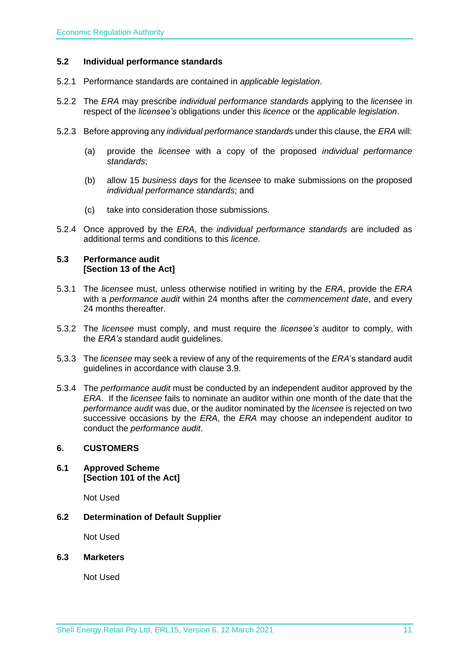#### <span id="page-10-0"></span>**5.2 Individual performance standards**

- 5.2.1 Performance standards are contained in *applicable legislation*.
- 5.2.2 The *ERA* may prescribe *individual performance standards* applying to the *licensee* in respect of the *licensee's* obligations under this *licence* or the *applicable legislation*.
- 5.2.3 Before approving any *individual performance standards* under this clause, the *ERA* will:
	- (a) provide the *licensee* with a copy of the proposed *individual performance standards*;
	- (b) allow 15 *business days* for the *licensee* to make submissions on the proposed *individual performance standards*; and
	- (c) take into consideration those submissions.
- 5.2.4 Once approved by the *ERA*, the *individual performance standards* are included as additional terms and conditions to this *licence*.

#### <span id="page-10-1"></span>**5.3 Performance audit [Section 13 of the Act]**

- 5.3.1 The *licensee* must, unless otherwise notified in writing by the *ERA*, provide the *ERA* with a *performance audit* within 24 months after the *commencement date*, and every 24 months thereafter.
- 5.3.2 The *licensee* must comply, and must require the *licensee's* auditor to comply, with the *ERA's* standard audit guidelines.
- 5.3.3 The *licensee* may seek a review of any of the requirements of the *ERA*'s standard audit guidelines in accordance with clause 3.9.
- 5.3.4 The *performance audit* must be conducted by an independent auditor approved by the *ERA*. If the *licensee* fails to nominate an auditor within one month of the date that the *performance audit* was due, or the auditor nominated by the *licensee* is rejected on two successive occasions by the *ERA*, the *ERA* may choose an independent auditor to conduct the *performance audit*.

#### <span id="page-10-2"></span>**6. CUSTOMERS**

<span id="page-10-3"></span>**6.1 Approved Scheme [Section 101 of the Act]**

Not Used

<span id="page-10-4"></span>**6.2 Determination of Default Supplier** 

Not Used

<span id="page-10-5"></span>**6.3 Marketers**

Not Used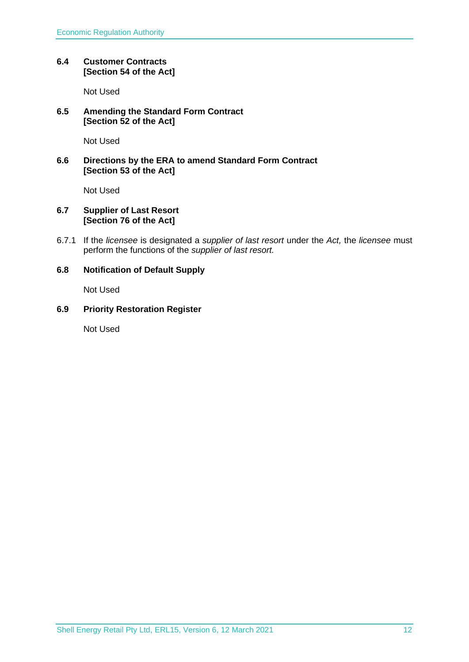# <span id="page-11-0"></span>**6.4 Customer Contracts [Section 54 of the Act]**

Not Used

# <span id="page-11-1"></span>**6.5 Amending the Standard Form Contract [Section 52 of the Act]**

Not Used

# <span id="page-11-2"></span>**6.6 Directions by the ERA to amend Standard Form Contract [Section 53 of the Act]**

Not Used

# <span id="page-11-3"></span>**6.7 Supplier of Last Resort [Section 76 of the Act]**

6.7.1 If the *licensee* is designated a *supplier of last resort* under the *Act,* the *licensee* must perform the functions of the *supplier of last resort.* 

# <span id="page-11-4"></span>**6.8 Notification of Default Supply**

Not Used

# <span id="page-11-5"></span>**6.9 Priority Restoration Register**

Not Used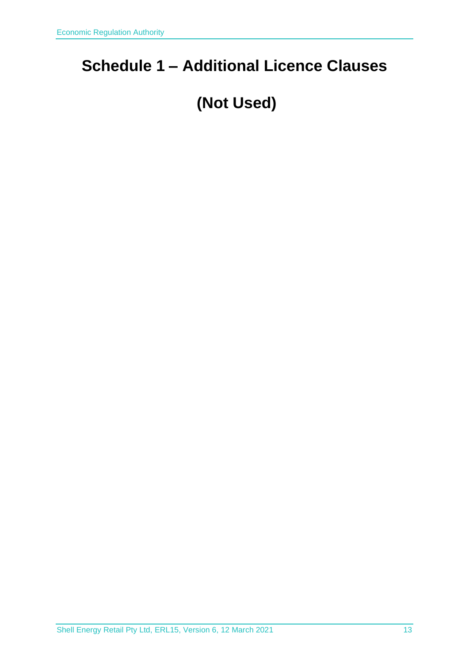# <span id="page-12-0"></span>**Schedule 1 – Additional Licence Clauses**

# **(Not Used)**

Shell Energy Retail Pty Ltd, ERL15, Version 6, 12 March 2021 13 13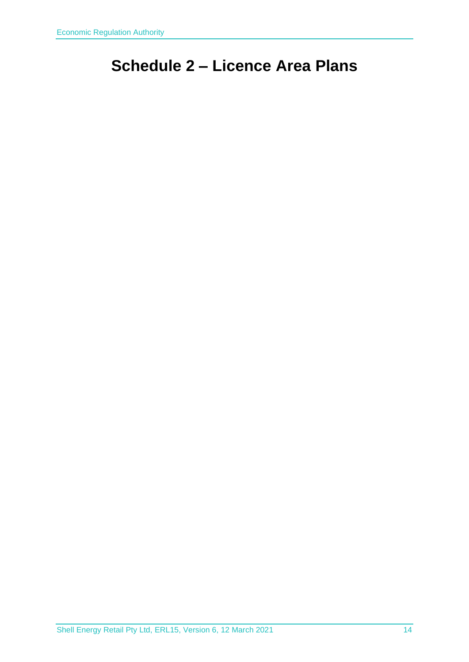# <span id="page-13-0"></span>**Schedule 2 – Licence Area Plans**